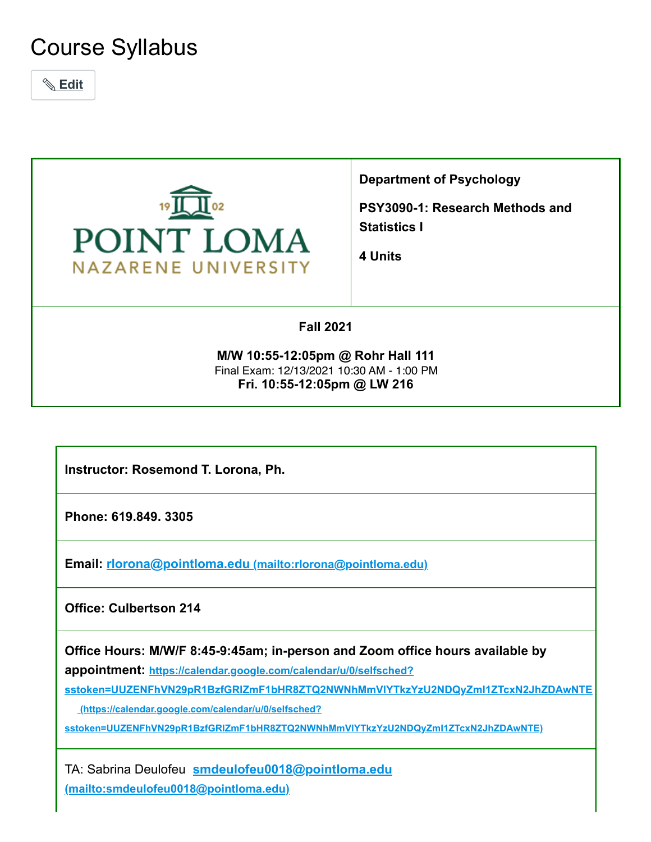# Course Syllabus

 **Edit**



**Department of Psychology**

**PSY3090-1: Research Methods and Statistics I**

**4 Units**

### **Fall 2021**

**M/W 10:55-12:05pm @ Rohr Hall 111 Fri. 10:55-12:05pm @ LW 216** Final Exam: 12/13/2021 10:30 AM - 1:00 PM

**Instructor: Rosemond T. Lorona, Ph.**

**Phone: 619.849. 3305**

**Email: rlorona@pointloma.edu [\(mailto:rlorona@pointloma.edu\)](mailto:rlorona@pointloma.edu)**

**Office: Culbertson 214**

**Office Hours: M/W/F 8:45-9:45am; in-person and Zoom office hours available by**

**appointment: https://calendar.google.com/calendar/u/0/selfsched?**

**[sstoken=UUZENFhVN29pR1BzfGRlZmF1bHR8ZTQ2NWNhMmVlYTkzYzU2NDQyZmI1ZTcxN2JhZDAwNTE](https://calendar.google.com/calendar/u/0/selfsched?sstoken=UUZENFhVN29pR1BzfGRlZmF1bHR8ZTQ2NWNhMmVlYTkzYzU2NDQyZmI1ZTcxN2JhZDAwNTE)**

 **(https://calendar.google.com/calendar/u/0/selfsched?**

**sstoken=UUZENFhVN29pR1BzfGRlZmF1bHR8ZTQ2NWNhMmVlYTkzYzU2NDQyZmI1ZTcxN2JhZDAwNTE)**

TA: Sabrina Deulofeu **smdeulofeu0018@pointloma.edu [\(mailto:smdeulofeu0018@pointloma.edu\)](mailto:smdeulofeu0018@pointloma.edu)**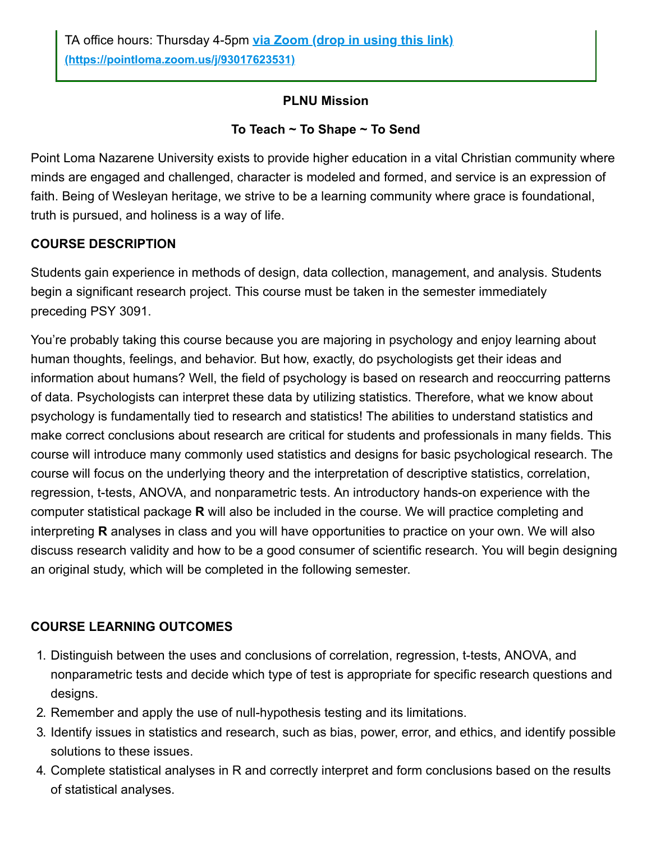### **PLNU Mission**

### **To Teach ~ To Shape ~ To Send**

Point Loma Nazarene University exists to provide higher education in a vital Christian community where minds are engaged and challenged, character is modeled and formed, and service is an expression of faith. Being of Wesleyan heritage, we strive to be a learning community where grace is foundational, truth is pursued, and holiness is a way of life.

### **COURSE DESCRIPTION**

Students gain experience in methods of design, data collection, management, and analysis. Students begin a significant research project. This course must be taken in the semester immediately preceding PSY 3091.

You're probably taking this course because you are majoring in psychology and enjoy learning about human thoughts, feelings, and behavior. But how, exactly, do psychologists get their ideas and information about humans? Well, the field of psychology is based on research and reoccurring patterns of data. Psychologists can interpret these data by utilizing statistics. Therefore, what we know about psychology is fundamentally tied to research and statistics! The abilities to understand statistics and make correct conclusions about research are critical for students and professionals in many fields. This course will introduce many commonly used statistics and designs for basic psychological research. The course will focus on the underlying theory and the interpretation of descriptive statistics, correlation, regression, t-tests, ANOVA, and nonparametric tests. An introductory hands-on experience with the computer statistical package **R** will also be included in the course. We will practice completing and interpreting **R** analyses in class and you will have opportunities to practice on your own. We will also discuss research validity and how to be a good consumer of scientific research. You will begin designing an original study, which will be completed in the following semester.

# **COURSE LEARNING OUTCOMES**

- 1. Distinguish between the uses and conclusions of correlation, regression, t-tests, ANOVA, and nonparametric tests and decide which type of test is appropriate for specific research questions and designs.
- 2. Remember and apply the use of null-hypothesis testing and its limitations.
- 3. Identify issues in statistics and research, such as bias, power, error, and ethics, and identify possible solutions to these issues.
- 4. Complete statistical analyses in R and correctly interpret and form conclusions based on the results of statistical analyses.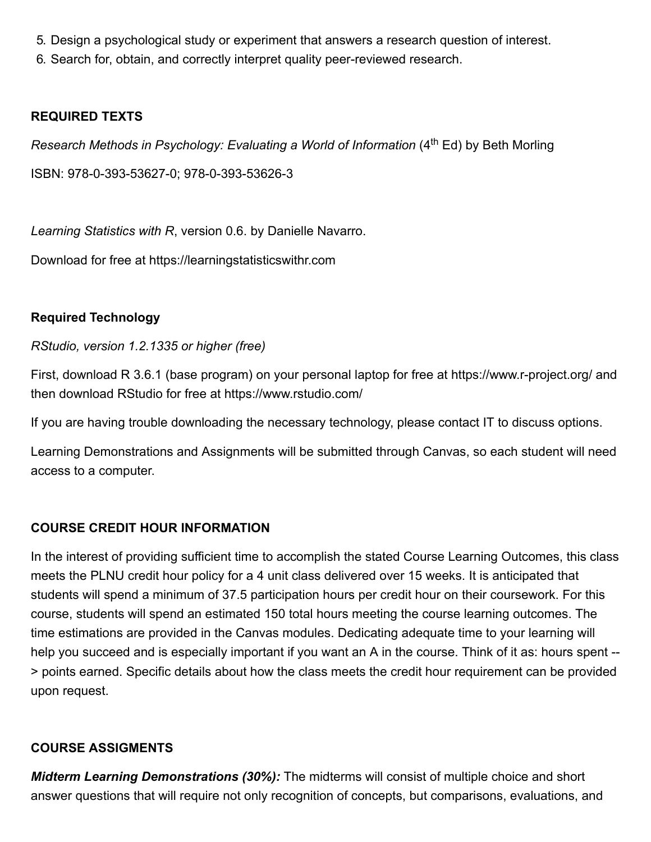- 5. Design a psychological study or experiment that answers a research question of interest.
- 6. Search for, obtain, and correctly interpret quality peer-reviewed research.

### **REQUIRED TEXTS**

Research Methods in Psychology: Evaluating a World of Information (4<sup>th</sup> Ed) by Beth Morling

ISBN: 978-0-393-53627-0; 978-0-393-53626-3

*Learning Statistics with R*, version 0.6. by Danielle Navarro.

Download for free at https://learningstatisticswithr.com

### **Required Technology**

*RStudio, version 1.2.1335 or higher (free)*

First, download R 3.6.1 (base program) on your personal laptop for free at https://www.r-project.org/ and then download RStudio for free at https://www.rstudio.com/

If you are having trouble downloading the necessary technology, please contact IT to discuss options.

Learning Demonstrations and Assignments will be submitted through Canvas, so each student will need access to a computer.

# **COURSE CREDIT HOUR INFORMATION**

In the interest of providing sufficient time to accomplish the stated Course Learning Outcomes, this class meets the PLNU credit hour policy for a 4 unit class delivered over 15 weeks. It is anticipated that students will spend a minimum of 37.5 participation hours per credit hour on their coursework. For this course, students will spend an estimated 150 total hours meeting the course learning outcomes. The time estimations are provided in the Canvas modules. Dedicating adequate time to your learning will help you succeed and is especially important if you want an A in the course. Think of it as: hours spent -- > points earned. Specific details about how the class meets the credit hour requirement can be provided upon request.

#### **COURSE ASSIGMENTS**

*Midterm Learning Demonstrations (30%):* The midterms will consist of multiple choice and short answer questions that will require not only recognition of concepts, but comparisons, evaluations, and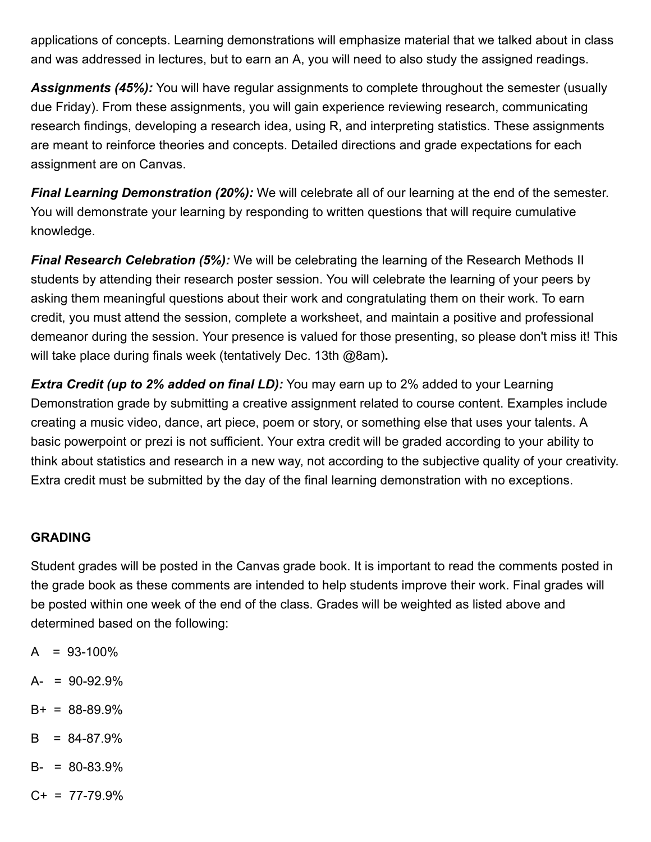applications of concepts. Learning demonstrations will emphasize material that we talked about in class and was addressed in lectures, but to earn an A, you will need to also study the assigned readings.

*Assignments (45%):* You will have regular assignments to complete throughout the semester (usually due Friday). From these assignments, you will gain experience reviewing research, communicating research findings, developing a research idea, using R, and interpreting statistics. These assignments are meant to reinforce theories and concepts. Detailed directions and grade expectations for each assignment are on Canvas.

*Final Learning Demonstration (20%):* We will celebrate all of our learning at the end of the semester. You will demonstrate your learning by responding to written questions that will require cumulative knowledge.

*Final Research Celebration (5%):* We will be celebrating the learning of the Research Methods II students by attending their research poster session. You will celebrate the learning of your peers by asking them meaningful questions about their work and congratulating them on their work. To earn credit, you must attend the session, complete a worksheet, and maintain a positive and professional demeanor during the session. Your presence is valued for those presenting, so please don't miss it! This will take place during finals week (tentatively Dec. 13th @8am)**.**

*Extra Credit (up to 2% added on final LD):* You may earn up to 2% added to your Learning Demonstration grade by submitting a creative assignment related to course content. Examples include creating a music video, dance, art piece, poem or story, or something else that uses your talents. A basic powerpoint or prezi is not sufficient. Your extra credit will be graded according to your ability to think about statistics and research in a new way, not according to the subjective quality of your creativity. Extra credit must be submitted by the day of the final learning demonstration with no exceptions.

#### **GRADING**

Student grades will be posted in the Canvas grade book. It is important to read the comments posted in the grade book as these comments are intended to help students improve their work. Final grades will be posted within one week of the end of the class. Grades will be weighted as listed above and determined based on the following:

- $A = 93-100\%$
- $A- = 90-92.9%$
- $B+ = 88-89.9%$
- $B = 84-87.9%$
- $B- = 80-83.9%$
- $C+ = 77-79.9%$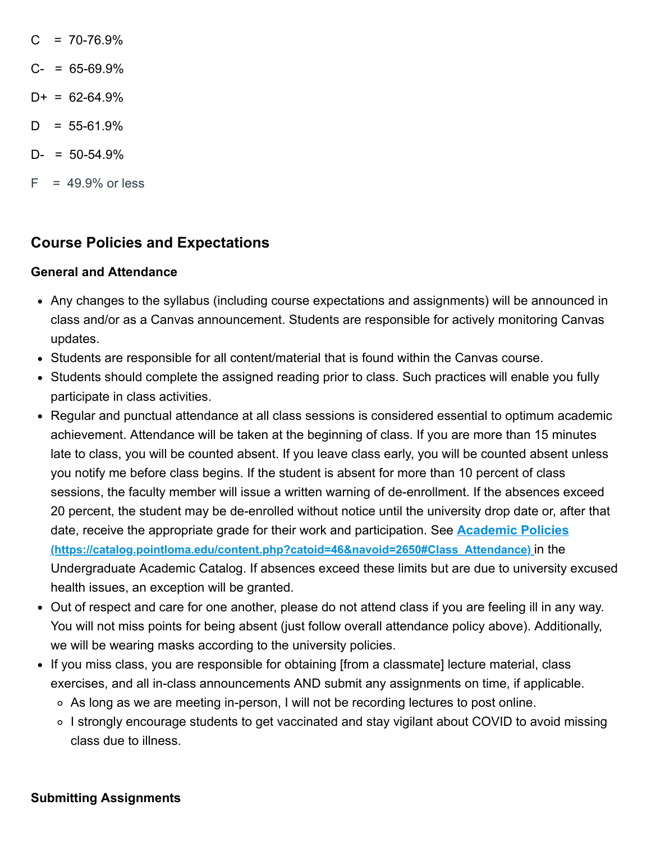- $C = 70-76.9%$
- $C- = 65-69.9%$
- $D+ = 62-64.9%$
- $D = 55-61.9%$
- $D- = 50-54.9%$
- $F = 49.9\%$  or less

# **Course Policies and Expectations**

#### **General and Attendance**

- Any changes to the syllabus (including course expectations and assignments) will be announced in class and/or as a Canvas announcement. Students are responsible for actively monitoring Canvas updates.
- Students are responsible for all content/material that is found within the Canvas course.
- Students should complete the assigned reading prior to class. Such practices will enable you fully participate in class activities.
- Regular and punctual attendance at all class sessions is considered essential to optimum academic achievement. Attendance will be taken at the beginning of class. If you are more than 15 minutes late to class, you will be counted absent. If you leave class early, you will be counted absent unless you notify me before class begins. If the student is absent for more than 10 percent of class sessions, the faculty member will issue a written warning of de-enrollment. If the absences exceed 20 percent, the student may be de-enrolled without notice until the university drop date or, after that date, receive the appropriate grade for their work and participation. See **Academic Policies [\(https://catalog.pointloma.edu/content.php?catoid=46&navoid=2650#Class\\_Attendance\)](https://catalog.pointloma.edu/content.php?catoid=46&navoid=2650#Class_Attendance)** in the Undergraduate Academic Catalog. If absences exceed these limits but are due to university excused health issues, an exception will be granted.
- Out of respect and care for one another, please do not attend class if you are feeling ill in any way. You will not miss points for being absent (just follow overall attendance policy above). Additionally, we will be wearing masks according to the university policies.
- If you miss class, you are responsible for obtaining [from a classmate] lecture material, class exercises, and all in-class announcements AND submit any assignments on time, if applicable.
	- As long as we are meeting in-person, I will not be recording lectures to post online.
	- ∘ I strongly encourage students to get vaccinated and stay vigilant about COVID to avoid missing class due to illness.

#### **Submitting Assignments**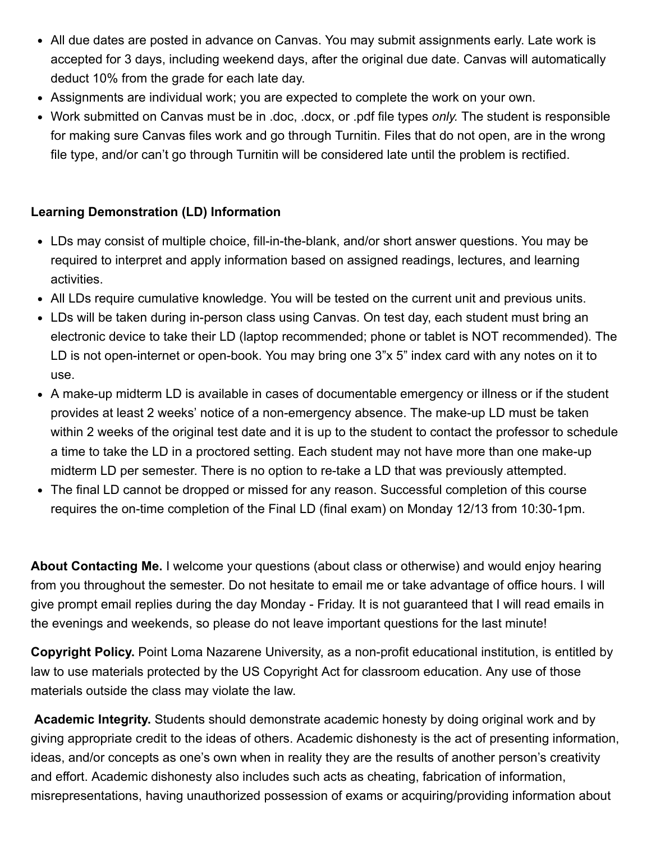- All due dates are posted in advance on Canvas. You may submit assignments early. Late work is accepted for 3 days, including weekend days, after the original due date. Canvas will automatically deduct 10% from the grade for each late day.
- Assignments are individual work; you are expected to complete the work on your own.
- Work submitted on Canvas must be in .doc, .docx, or .pdf file types *only.* The student is responsible for making sure Canvas files work and go through Turnitin. Files that do not open, are in the wrong file type, and/or can't go through Turnitin will be considered late until the problem is rectified.

# **Learning Demonstration (LD) Information**

- LDs may consist of multiple choice, fill-in-the-blank, and/or short answer questions. You may be required to interpret and apply information based on assigned readings, lectures, and learning activities.
- All LDs require cumulative knowledge. You will be tested on the current unit and previous units.
- LDs will be taken during in-person class using Canvas. On test day, each student must bring an electronic device to take their LD (laptop recommended; phone or tablet is NOT recommended). The LD is not open-internet or open-book. You may bring one 3"x 5" index card with any notes on it to use.
- A make-up midterm LD is available in cases of documentable emergency or illness or if the student provides at least 2 weeks' notice of a non-emergency absence. The make-up LD must be taken within 2 weeks of the original test date and it is up to the student to contact the professor to schedule a time to take the LD in a proctored setting. Each student may not have more than one make-up midterm LD per semester. There is no option to re-take a LD that was previously attempted.
- The final LD cannot be dropped or missed for any reason. Successful completion of this course requires the on-time completion of the Final LD (final exam) on Monday 12/13 from 10:30-1pm.

**About Contacting Me.** I welcome your questions (about class or otherwise) and would enjoy hearing from you throughout the semester. Do not hesitate to email me or take advantage of office hours. I will give prompt email replies during the day Monday - Friday. It is not guaranteed that I will read emails in the evenings and weekends, so please do not leave important questions for the last minute!

**Copyright Policy.** Point Loma Nazarene University, as a non-profit educational institution, is entitled by law to use materials protected by the US Copyright Act for classroom education. Any use of those materials outside the class may violate the law.

**Academic Integrity.** Students should demonstrate academic honesty by doing original work and by giving appropriate credit to the ideas of others. Academic dishonesty is the act of presenting information, ideas, and/or concepts as one's own when in reality they are the results of another person's creativity and effort. Academic dishonesty also includes such acts as cheating, fabrication of information, misrepresentations, having unauthorized possession of exams or acquiring/providing information about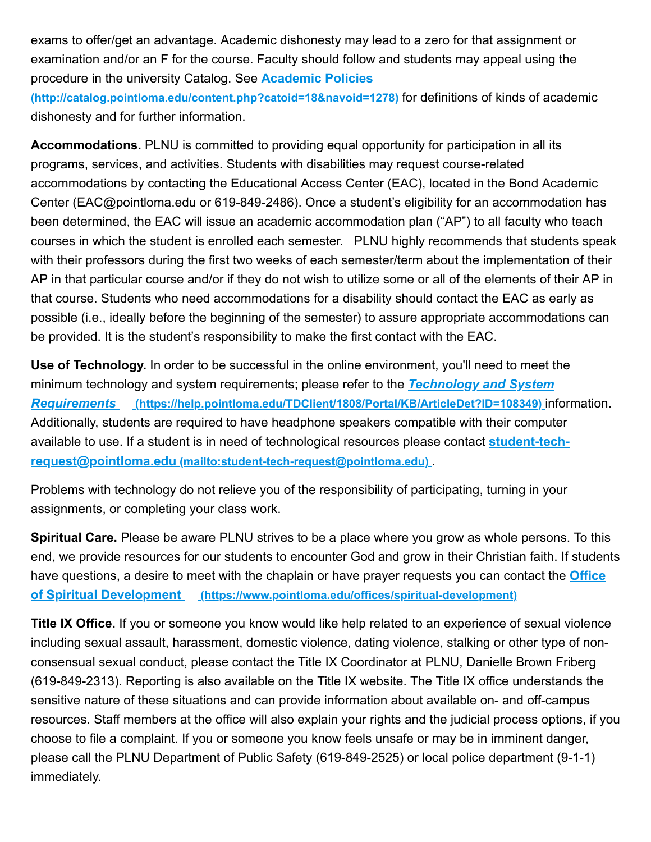exams to offer/get an advantage. Academic dishonesty may lead to a zero for that assignment or examination and/or an F for the course. Faculty should follow and students may appeal using the procedure in the university Catalog. See **Academic Policies**

**[\(http://catalog.pointloma.edu/content.php?catoid=18&navoid=1278\)](http://catalog.pointloma.edu/content.php?catoid=18&navoid=1278)** for definitions of kinds of academic dishonesty and for further information.

**Accommodations.** PLNU is committed to providing equal opportunity for participation in all its programs, services, and activities. Students with disabilities may request course-related accommodations by contacting the Educational Access Center (EAC), located in the Bond Academic Center (EAC@pointloma.edu or 619-849-2486). Once a student's eligibility for an accommodation has been determined, the EAC will issue an academic accommodation plan ("AP") to all faculty who teach courses in which the student is enrolled each semester. PLNU highly recommends that students speak with their professors during the first two weeks of each semester/term about the implementation of their AP in that particular course and/or if they do not wish to utilize some or all of the elements of their AP in that course. Students who need accommodations for a disability should contact the EAC as early as possible (i.e., ideally before the beginning of the semester) to assure appropriate accommodations can be provided. It is the student's responsibility to make the first contact with the EAC.

**Use of Technology.** In order to be successful in the online environment, you'll need to meet the [minimum technology and system requirements; please refer to the](https://help.pointloma.edu/TDClient/1808/Portal/KB/ArticleDet?ID=108349) *Technology and System Requirements* **(https://help.pointloma.edu/TDClient/1808/Portal/KB/ArticleDet?ID=108349)** information. Additionally, students are required to have headphone speakers compatible with their computer [available to use. If a student is in need of technological resources please contact](mailto:student-tech-request@pointloma.edu) **student-techrequest@pointloma.edu (mailto:student-tech-request@pointloma.edu)** .

Problems with technology do not relieve you of the responsibility of participating, turning in your assignments, or completing your class work.

**Spiritual Care.** Please be aware PLNU strives to be a place where you grow as whole persons. To this end, we provide resources for our students to encounter God and grow in their Christian faith. If students [have questions, a desire to meet with the chaplain or have prayer requests you can contact the](https://www.pointloma.edu/offices/spiritual-development) **Office of Spiritual Development (https://www.pointloma.edu/offices/spiritual-development)**

**Title IX Office.** If you or someone you know would like help related to an experience of sexual violence including sexual assault, harassment, domestic violence, dating violence, stalking or other type of nonconsensual sexual conduct, please contact the Title IX Coordinator at PLNU, Danielle Brown Friberg (619-849-2313). Reporting is also available on the Title IX website. The Title IX office understands the sensitive nature of these situations and can provide information about available on- and off-campus resources. Staff members at the office will also explain your rights and the judicial process options, if you choose to file a complaint. If you or someone you know feels unsafe or may be in imminent danger, please call the PLNU Department of Public Safety (619-849-2525) or local police department (9-1-1) immediately.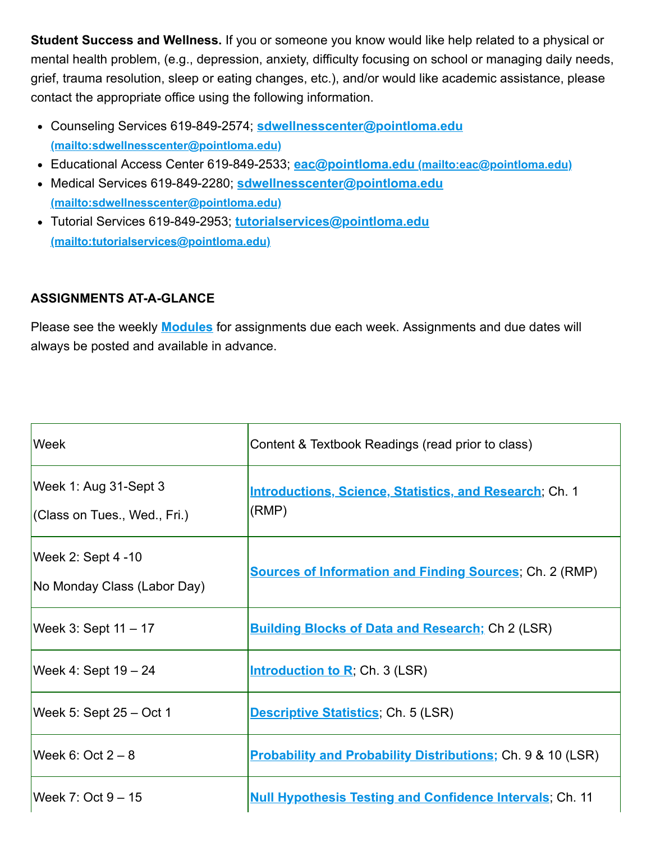**Student Success and Wellness.** If you or someone you know would like help related to a physical or mental health problem, (e.g., depression, anxiety, difficulty focusing on school or managing daily needs, grief, trauma resolution, sleep or eating changes, etc.), and/or would like academic assistance, please contact the appropriate office using the following information.

- Counseling Services 619-849-2574; **sdwellnesscenter@pointloma.edu [\(mailto:sdwellnesscenter@pointloma.edu\)](mailto:sdwellnesscenter@pointloma.edu)**
- Educational Access Center 619-849-2533; **eac@pointloma.edu [\(mailto:eac@pointloma.edu\)](mailto:eac@pointloma.edu)**
- Medical Services 619-849-2280; **sdwellnesscenter@pointloma.edu [\(mailto:sdwellnesscenter@pointloma.edu\)](mailto:sdwellnesscenter@pointloma.edu)**
- Tutorial Services 619-849-2953; **tutorialservices@pointloma.edu [\(mailto:tutorialservices@pointloma.edu\)](mailto:tutorialservices@pointloma.edu)**

# **ASSIGNMENTS AT-A-GLANCE**

Please see the weekly **[Modules](https://canvas.pointloma.edu/courses/57695/modules)** for assignments due each week. Assignments and due dates will always be posted and available in advance.

| Week                                                  | Content & Textbook Readings (read prior to class)                       |
|-------------------------------------------------------|-------------------------------------------------------------------------|
| Week 1: Aug 31-Sept 3<br>(Class on Tues., Wed., Fri.) | <b>Introductions, Science, Statistics, and Research; Ch. 1</b><br>(RMP) |
| Week 2: Sept 4 -10<br>No Monday Class (Labor Day)     | <b>Sources of Information and Finding Sources; Ch. 2 (RMP)</b>          |
| Week 3: Sept $11 - 17$                                | <b>Building Blocks of Data and Research; Ch 2 (LSR)</b>                 |
| Week 4: Sept 19 - 24                                  | <b>Introduction to R</b> ; Ch. 3 (LSR)                                  |
| Week 5: Sept 25 - Oct 1                               | <b>Descriptive Statistics; Ch. 5 (LSR)</b>                              |
| Week $6:$ Oct $2-8$                                   | <b>Probability and Probability Distributions; Ch. 9 &amp; 10 (LSR)</b>  |
| Week $7:$ Oct $9-15$                                  | <b>Null Hypothesis Testing and Confidence Intervals</b> ; Ch. 11        |